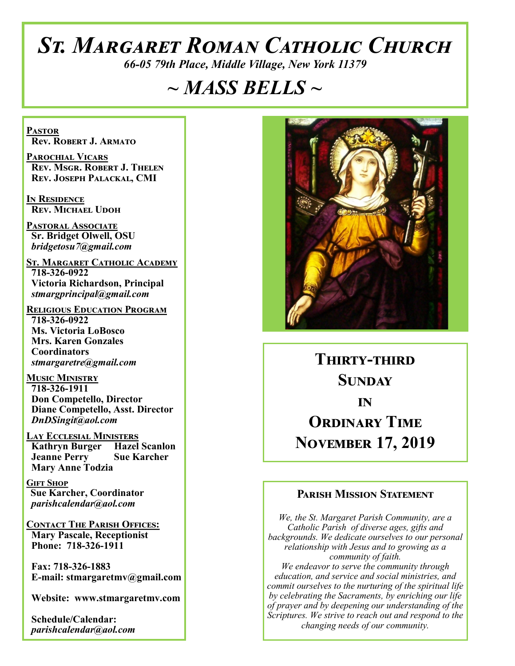# *St. Margaret Roman Catholic Church*

*66-05 79th Place, Middle Village, New York 11379*

# *~ MASS BELLS ~*

**Pastor Rev. Robert J. Armato**

**Parochial Vicars Rev. Msgr. Robert J. Thelen Rev. Joseph Palackal, CMI**

**In Residence Rev. Michael Udoh**

**Pastoral Associate Sr. Bridget Olwell, OSU**  *bridgetosu7@gmail.com*

**St. Margaret Catholic Academy 718-326-0922 Victoria Richardson, Principal**  *stmargprincipal@gmail.com*

**Religious Education Program 718-326-0922 Ms. Victoria LoBosco Mrs. Karen Gonzales Coordinators** *stmargaretre@gmail.com*

**Music Ministry 718-326-1911 Don Competello, Director Diane Competello, Asst. Director** *DnDSingit@aol.com*

**Lay Ecclesial Ministers Kathryn Burger Hazel Scanlon**<br>**Jeanne Perry Sue Karcher Jeanne Perry Mary Anne Todzia**

**Gift Shop Sue Karcher, Coordinator** *parishcalendar@aol.com*

**Contact The Parish Offices: Mary Pascale, Receptionist Phone: 718-326-1911** 

 **Fax: 718-326-1883 E-mail: stmargaretmv@gmail.com**

 **Website: www.stmargaretmv.com**

 **Schedule/Calendar:** *parishcalendar@aol.com* 



**Thirty-third Sunday in ORDINARY TIME November 17, 2019** 

#### **Parish Mission Statement**

*We, the St. Margaret Parish Community, are a Catholic Parish of diverse ages, gifts and backgrounds. We dedicate ourselves to our personal relationship with Jesus and to growing as a community of faith. We endeavor to serve the community through education, and service and social ministries, and commit ourselves to the nurturing of the spiritual life by celebrating the Sacraments, by enriching our life of prayer and by deepening our understanding of the Scriptures. We strive to reach out and respond to the changing needs of our community.*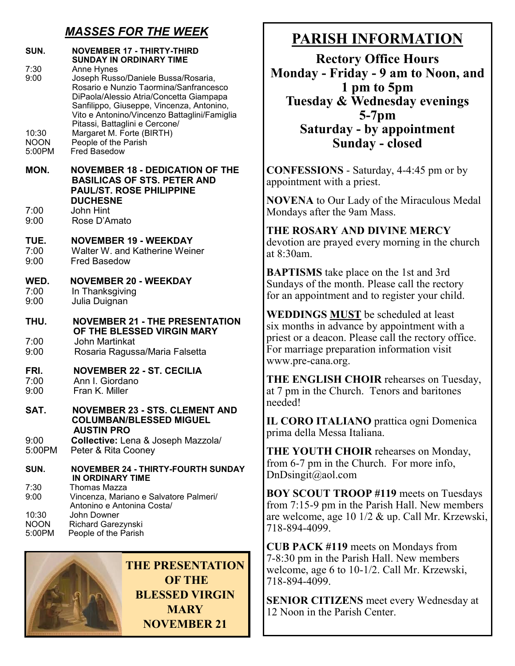## *MASSES FOR THE WEEK*

| SUN.                 | <b>NOVEMBER 17 - THIRTY-THIRD</b><br><b>SUNDAY IN ORDINARY TIME</b>                                                                                                                                                                                                   |
|----------------------|-----------------------------------------------------------------------------------------------------------------------------------------------------------------------------------------------------------------------------------------------------------------------|
| 7:30<br>9:00         | Anne Hynes<br>Joseph Russo/Daniele Bussa/Rosaria,<br>Rosario e Nunzio Taormina/Sanfrancesco<br>DiPaola/Alessio Atria/Concetta Giampapa<br>Sanfilippo, Giuseppe, Vincenza, Antonino,<br>Vito e Antonino/Vincenzo Battaglini/Famiglia<br>Pitassi, Battaglini e Cercone/ |
| 10:30                | Margaret M. Forte (BIRTH)                                                                                                                                                                                                                                             |
| <b>NOON</b>          | People of the Parish                                                                                                                                                                                                                                                  |
| 5:00PM               | <b>Fred Basedow</b>                                                                                                                                                                                                                                                   |
| MON.<br>7:00<br>9:00 | <b>NOVEMBER 18 - DEDICATION OF THE</b><br><b>BASILICAS OF STS. PETER AND</b><br><b>PAUL/ST. ROSE PHILIPPINE</b><br><b>DUCHESNE</b><br>John Hint<br>Rose D'Amato                                                                                                       |
| TUE.                 | <b>NOVEMBER 19 - WEEKDAY</b>                                                                                                                                                                                                                                          |
| 7:00                 | Walter W. and Katherine Weiner                                                                                                                                                                                                                                        |
| 9:00                 | <b>Fred Basedow</b>                                                                                                                                                                                                                                                   |
| WED.                 | <b>NOVEMBER 20 - WEEKDAY</b>                                                                                                                                                                                                                                          |
| 7:00                 | In Thanksgiving                                                                                                                                                                                                                                                       |
| 9:00                 | Julia Duignan                                                                                                                                                                                                                                                         |
| THU.                 | <b>NOVEMBER 21 - THE PRESENTATION</b><br>OF THE BLESSED VIRGIN MARY                                                                                                                                                                                                   |
| 7:00                 | <b>John Martinkat</b>                                                                                                                                                                                                                                                 |
| 9:00                 | Rosaria Ragussa/Maria Falsetta                                                                                                                                                                                                                                        |
| FRI.                 | <b>NOVEMBER 22 - ST. CECILIA</b>                                                                                                                                                                                                                                      |
| 7:00                 | Ann I. Giordano                                                                                                                                                                                                                                                       |
| 9:00                 | Fran K. Miller                                                                                                                                                                                                                                                        |
| SAT.                 | <b>NOVEMBER 23 - STS. CLEMENT AND</b><br><b>COLUMBAN/BLESSED MIGUEL</b><br><b>AUSTIN PRO</b>                                                                                                                                                                          |
| 9:00                 | <b>Collective:</b> Lena & Joseph Mazzola/                                                                                                                                                                                                                             |
| 5:00PM               | Peter & Rita Cooney                                                                                                                                                                                                                                                   |
| SUN.                 | <b>NOVEMBER 24 - THIRTY-FOURTH SUNDAY</b><br>IN ORDINARY TIME                                                                                                                                                                                                         |
| 7:30<br>9:00         | <b>Thomas Mazza</b><br>Vincenza, Mariano e Salvatore Palmeri/<br>Antonino e Antonina Costa/                                                                                                                                                                           |
| 10:30                | John Downer                                                                                                                                                                                                                                                           |
| <b>NOON</b>          | Richard Garezynski                                                                                                                                                                                                                                                    |
| 5:00PM               | People of the Parish                                                                                                                                                                                                                                                  |



# **PARISH INFORMATION**

**Rectory Office Hours Monday - Friday - 9 am to Noon, and 1 pm to 5pm Tuesday & Wednesday evenings 5-7pm Saturday - by appointment Sunday - closed**

**CONFESSIONS** - Saturday, 4-4:45 pm or by appointment with a priest.

**NOVENA** to Our Lady of the Miraculous Medal Mondays after the 9am Mass.

#### **THE ROSARY AND DIVINE MERCY**  devotion are prayed every morning in the church at 8:30am.

**BAPTISMS** take place on the 1st and 3rd Sundays of the month. Please call the rectory for an appointment and to register your child.

**WEDDINGS MUST** be scheduled at least six months in advance by appointment with a priest or a deacon. Please call the rectory office. For marriage preparation information visit www.pre-cana.org.

**THE ENGLISH CHOIR** rehearses on Tuesday, at 7 pm in the Church. Tenors and baritones needed!

**IL CORO ITALIANO** prattica ogni Domenica prima della Messa Italiana.

**THE YOUTH CHOIR** rehearses on Monday, from 6-7 pm in the Church. For more info, DnDsingit@aol.com

**BOY SCOUT TROOP #119** meets on Tuesdays from 7:15-9 pm in the Parish Hall. New members are welcome, age 10 1/2 & up. Call Mr. Krzewski, 718-894-4099.

**CUB PACK #119** meets on Mondays from 7-8:30 pm in the Parish Hall. New members welcome, age 6 to 10-1/2. Call Mr. Krzewski, 718-894-4099.

**SENIOR CITIZENS** meet every Wednesday at 12 Noon in the Parish Center.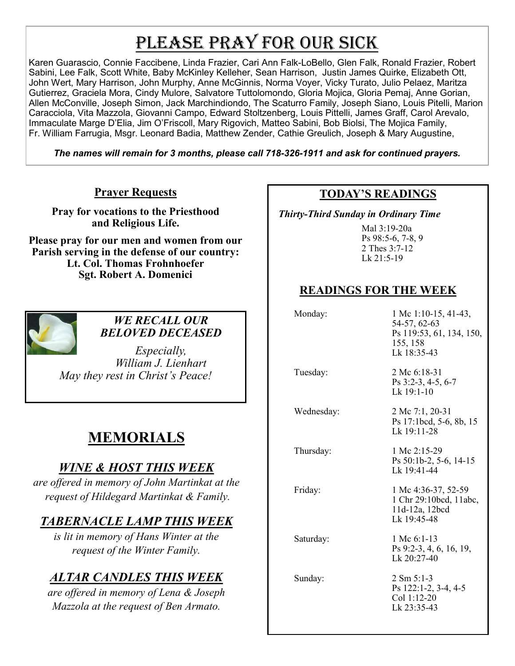# PLEASE PRAY FOR OUR SICK

Karen Guarascio, Connie Faccibene, Linda Frazier, Cari Ann Falk-LoBello, Glen Falk, Ronald Frazier, Robert Sabini, Lee Falk, Scott White, Baby McKinley Kelleher, Sean Harrison, Justin James Quirke, Elizabeth Ott, John Wert, Mary Harrison, John Murphy, Anne McGinnis, Norma Voyer, Vicky Turato, Julio Pelaez, Maritza Gutierrez, Graciela Mora, Cindy Mulore, Salvatore Tuttolomondo, Gloria Mojica, Gloria Pemaj, Anne Gorian, Allen McConville, Joseph Simon, Jack Marchindiondo, The Scaturro Family, Joseph Siano, Louis Pitelli, Marion Caracciola, Vita Mazzola, Giovanni Campo, Edward Stoltzenberg, Louis Pittelli, James Graff, Carol Arevalo, Immaculate Marge D'Elia, Jim O'Friscoll, Mary Rigovich, Matteo Sabini, Bob Biolsi, The Mojica Family, Fr. William Farrugia, Msgr. Leonard Badia, Matthew Zender, Cathie Greulich, Joseph & Mary Augustine,

*The names will remain for 3 months, please call 718-326-1911 and ask for continued prayers.*

#### **Prayer Requests**

**Pray for vocations to the Priesthood and Religious Life.** 

**Please pray for our men and women from our Parish serving in the defense of our country: Lt. Col. Thomas Frohnhoefer Sgt. Robert A. Domenici** 



*WE RECALL OUR BELOVED DECEASED*

*Especially, William J. Lienhart May they rest in Christ's Peace!*

# **MEMORIALS**

## *WINE & HOST THIS WEEK*

*are offered in memory of John Martinkat at the request of Hildegard Martinkat & Family.* 

## *TABERNACLE LAMP THIS WEEK*

*is lit in memory of Hans Winter at the request of the Winter Family.*

# *ALTAR CANDLES THIS WEEK*

*are offered in memory of Lena & Joseph Mazzola at the request of Ben Armato.*

#### **TODAY'S READINGS**

 *Thirty-Third Sunday in Ordinary Time* 

Mal 3:19-20a Ps 98:5-6, 7-8, 9 2 Thes 3:7-12 Lk 21:5-19

## **READINGS FOR THE WEEK**

Monday: 1 Mc 1:10-15, 41-43, 54-57, 62-63 Ps 119:53, 61, 134, 150, 155, 158 Lk 18:35-43 Tuesday: 2 Mc 6:18-31 Ps 3:2-3, 4-5, 6-7 Lk 19:1-10 Wednesday: 2 Mc 7:1, 20-31 Ps 17:1bcd, 5-6, 8b, 15 Lk 19:11-28 Thursday: 1 Mc 2:15-29 Ps 50:1b-2, 5-6, 14-15 Lk 19:41-44 Friday: 1 Mc 4:36-37, 52-59 1 Chr 29:10bcd, 11abc, 11d-12a, 12bcd Lk 19:45-48 Saturday: 1 Mc 6:1-13 Ps 9:2-3, 4, 6, 16, 19, Lk 20:27-40 Sunday: 2 Sm 5:1-3 Ps 122:1-2, 3-4, 4-5 Col 1:12-20 Lk 23:35-43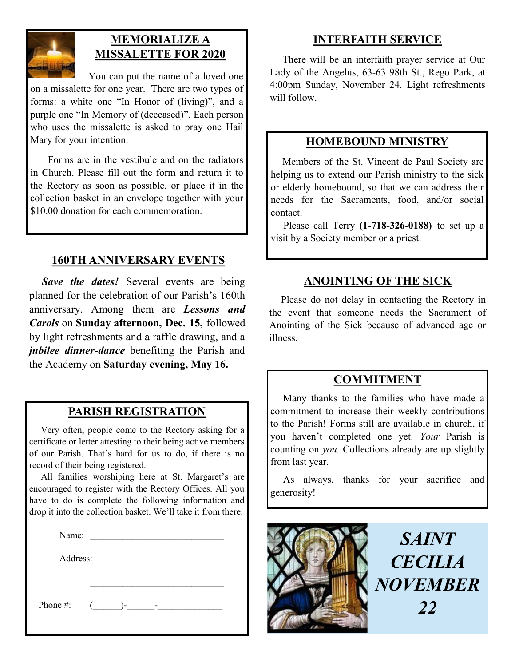

### **MEMORIALIZE A MISSALETTE FOR 2020**

 You can put the name of a loved one on a missalette for one year. There are two types of forms: a white one "In Honor of (living)", and a purple one "In Memory of (deceased)". Each person who uses the missalette is asked to pray one Hail Mary for your intention.

 Forms are in the vestibule and on the radiators in Church. Please fill out the form and return it to the Rectory as soon as possible, or place it in the collection basket in an envelope together with your \$10.00 donation for each commemoration.

## **160TH ANNIVERSARY EVENTS**

 *Save the dates!* Several events are being planned for the celebration of our Parish's 160th anniversary. Among them are *Lessons and Carols* on **Sunday afternoon, Dec. 15,** followed by light refreshments and a raffle drawing, and a *jubilee dinner-dance* benefiting the Parish and the Academy on **Saturday evening, May 16.**

#### **PARISH REGISTRATION**

 Very often, people come to the Rectory asking for a certificate or letter attesting to their being active members of our Parish. That's hard for us to do, if there is no record of their being registered.

 All families worshiping here at St. Margaret's are encouraged to register with the Rectory Offices. All you have to do is complete the following information and drop it into the collection basket. We'll take it from there.

| Name:    |        |  |  |
|----------|--------|--|--|
| Address: |        |  |  |
|          |        |  |  |
| Phone #: | $($ )- |  |  |

#### **INTERFAITH SERVICE**

 There will be an interfaith prayer service at Our Lady of the Angelus, 63-63 98th St., Rego Park, at 4:00pm Sunday, November 24. Light refreshments will follow.

#### **HOMEBOUND MINISTRY**

 Members of the St. Vincent de Paul Society are helping us to extend our Parish ministry to the sick or elderly homebound, so that we can address their needs for the Sacraments, food, and/or social contact.

 Please call Terry **(1-718-326-0188)** to set up a visit by a Society member or a priest.

#### **ANOINTING OF THE SICK**

 Please do not delay in contacting the Rectory in the event that someone needs the Sacrament of Anointing of the Sick because of advanced age or illness.

#### **COMMITMENT**

Many thanks to the families who have made a commitment to increase their weekly contributions to the Parish! Forms still are available in church, if you haven't completed one yet. *Your* Parish is counting on *you.* Collections already are up slightly from last year.

 As always, thanks for your sacrifice and generosity!



*SAINT CECILIA NOVEMBER 22*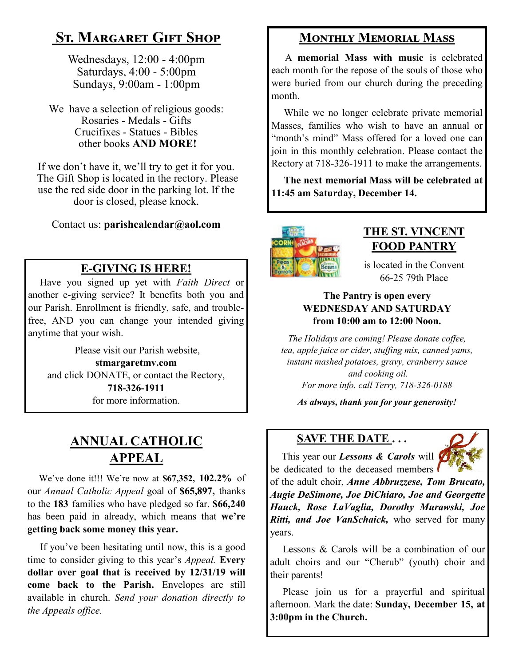# **St. Margaret Gift Shop**

Wednesdays, 12:00 - 4:00pm Saturdays, 4:00 - 5:00pm Sundays, 9:00am - 1:00pm

We have a selection of religious goods: Rosaries - Medals - Gifts Crucifixes - Statues - Bibles other books **AND MORE!**

If we don't have it, we'll try to get it for you. The Gift Shop is located in the rectory. Please use the red side door in the parking lot. If the door is closed, please knock.

Contact us: **parishcalendar@aol.com**

## **E-GIVING IS HERE!**

 Have you signed up yet with *Faith Direct* or another e-giving service? It benefits both you and our Parish. Enrollment is friendly, safe, and troublefree, AND you can change your intended giving anytime that your wish.

Please visit our Parish website,

**stmargaretmv.com** and click DONATE, or contact the Rectory, **718-326-1911** for more information.

# **ANNUAL CATHOLIC APPEAL**

 We've done it!!! We're now at **\$67,352, 102.2%** of our *Annual Catholic Appeal* goal of **\$65,897,** thanks to the **183** families who have pledged so far. **\$66,240**  has been paid in already, which means that **we're getting back some money this year.** 

 If you've been hesitating until now, this is a good time to consider giving to this year's *Appeal.* **Every dollar over goal that is received by 12/31/19 will come back to the Parish.** Envelopes are still available in church. *Send your donation directly to the Appeals office.*

## **Monthly Memorial Mass**

 A **memorial Mass with music** is celebrated each month for the repose of the souls of those who were buried from our church during the preceding month.

 While we no longer celebrate private memorial Masses, families who wish to have an annual or "month's mind" Mass offered for a loved one can join in this monthly celebration. Please contact the Rectory at 718-326-1911 to make the arrangements.

 **The next memorial Mass will be celebrated at 11:45 am Saturday, December 14.** 



## **THE ST. VINCENT FOOD PANTRY**

is located in the Convent 66-25 79th Place

#### **The Pantry is open every WEDNESDAY AND SATURDAY from 10:00 am to 12:00 Noon.**

*The Holidays are coming! Please donate coffee, tea, apple juice or cider, stuffing mix, canned yams, instant mashed potatoes, gravy, cranberry sauce and cooking oil. For more info. call Terry, 718-326-0188*

*As always, thank you for your generosity!*

#### **SAVE THE DATE . . .**

 This year our *Lessons & Carols* will be dedicated to the deceased members



of the adult choir, *Anne Abbruzzese, Tom Brucato, Augie DeSimone, Joe DiChiaro, Joe and Georgette Hauck, Rose LaVaglia, Dorothy Murawski, Joe Ritti, and Joe VanSchaick,* who served for many years.

 Lessons & Carols will be a combination of our adult choirs and our "Cherub" (youth) choir and their parents!

 Please join us for a prayerful and spiritual afternoon. Mark the date: **Sunday, December 15, at 3:00pm in the Church.**